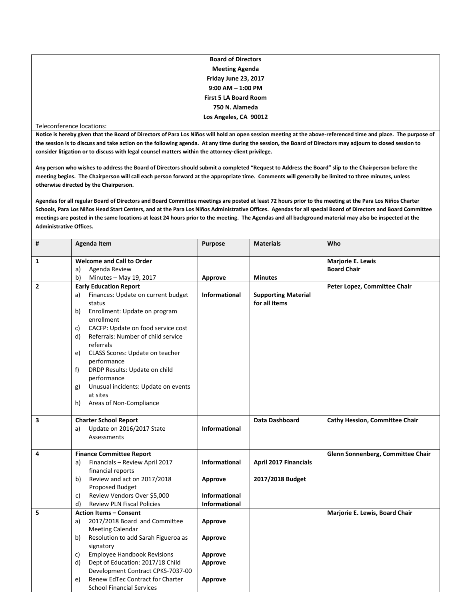| <b>Board of Directors</b> |
|---------------------------|
| <b>Meeting Agenda</b>     |
| Friday June 23, 2017      |
| $9:00$ AM $-$ 1:00 PM     |
| First 5 LA Board Room     |
| 750 N. Alameda            |
| Los Angeles, CA 90012     |
|                           |

## Teleconference locations:

**Notice is hereby given that the Board of Directors of Para Los Niños will hold an open session meeting at the above-referenced time and place. The purpose of the session is to discuss and take action on the following agenda. At any time during the session, the Board of Directors may adjourn to closed session to consider litigation or to discuss with legal counsel matters within the attorney-client privilege.**

**Any person who wishes to address the Board of Directors should submit a completed "Request to Address the Board" slip to the Chairperson before the meeting begins. The Chairperson will call each person forward at the appropriate time. Comments will generally be limited to three minutes, unless otherwise directed by the Chairperson.**

**Agendas for all regular Board of Directors and Board Committee meetings are posted at least 72 hours prior to the meeting at the Para Los Niños Charter Schools, Para Los Niños Head Start Centers, and at the Para Los Niños Administrative Offices. Agendas for all special Board of Directors and Board Committee meetings are posted in the same locations at least 24 hours prior to the meeting. The Agendas and all background material may also be inspected at the Administrative Offices.**

| $\pmb{\sharp}$ | <b>Agenda Item</b>                                                                                                                                                                                                                                                                                                                                                                                                                                    | Purpose              | <b>Materials</b>                            | Who                                            |
|----------------|-------------------------------------------------------------------------------------------------------------------------------------------------------------------------------------------------------------------------------------------------------------------------------------------------------------------------------------------------------------------------------------------------------------------------------------------------------|----------------------|---------------------------------------------|------------------------------------------------|
|                |                                                                                                                                                                                                                                                                                                                                                                                                                                                       |                      |                                             |                                                |
| 1              | <b>Welcome and Call to Order</b>                                                                                                                                                                                                                                                                                                                                                                                                                      |                      |                                             | <b>Marjorie E. Lewis</b><br><b>Board Chair</b> |
|                | Agenda Review<br>a)<br>b)<br>Minutes - May 19, 2017                                                                                                                                                                                                                                                                                                                                                                                                   |                      | <b>Minutes</b>                              |                                                |
| 2              |                                                                                                                                                                                                                                                                                                                                                                                                                                                       | Approve              |                                             |                                                |
|                | <b>Early Education Report</b><br>Finances: Update on current budget<br>a)<br>status<br>Enrollment: Update on program<br>b)<br>enrollment<br>CACFP: Update on food service cost<br>c)<br>Referrals: Number of child service<br>d)<br>referrals<br>CLASS Scores: Update on teacher<br>e)<br>performance<br>DRDP Results: Update on child<br>f)<br>performance<br>Unusual incidents: Update on events<br>g)<br>at sites<br>Areas of Non-Compliance<br>h) | <b>Informational</b> | <b>Supporting Material</b><br>for all items | Peter Lopez, Committee Chair                   |
| 3              | <b>Charter School Report</b>                                                                                                                                                                                                                                                                                                                                                                                                                          |                      | Data Dashboard                              | <b>Cathy Hession, Committee Chair</b>          |
|                | Update on 2016/2017 State<br>a)<br>Assessments                                                                                                                                                                                                                                                                                                                                                                                                        | Informational        |                                             |                                                |
| 4              | <b>Finance Committee Report</b>                                                                                                                                                                                                                                                                                                                                                                                                                       |                      |                                             | Glenn Sonnenberg, Committee Chair              |
|                | Financials - Review April 2017<br>a)                                                                                                                                                                                                                                                                                                                                                                                                                  | <b>Informational</b> | <b>April 2017 Financials</b>                |                                                |
|                | financial reports                                                                                                                                                                                                                                                                                                                                                                                                                                     |                      |                                             |                                                |
|                | Review and act on 2017/2018<br>b)                                                                                                                                                                                                                                                                                                                                                                                                                     | Approve              | 2017/2018 Budget                            |                                                |
|                | <b>Proposed Budget</b>                                                                                                                                                                                                                                                                                                                                                                                                                                |                      |                                             |                                                |
|                | Review Vendors Over \$5,000<br>c)                                                                                                                                                                                                                                                                                                                                                                                                                     | <b>Informational</b> |                                             |                                                |
|                | d)<br><b>Review PLN Fiscal Policies</b>                                                                                                                                                                                                                                                                                                                                                                                                               | <b>Informational</b> |                                             |                                                |
| 5              | <b>Action Items - Consent</b>                                                                                                                                                                                                                                                                                                                                                                                                                         |                      |                                             | Marjorie E. Lewis, Board Chair                 |
|                | 2017/2018 Board and Committee<br>a)                                                                                                                                                                                                                                                                                                                                                                                                                   | <b>Approve</b>       |                                             |                                                |
|                | <b>Meeting Calendar</b>                                                                                                                                                                                                                                                                                                                                                                                                                               |                      |                                             |                                                |
|                | Resolution to add Sarah Figueroa as<br>b)                                                                                                                                                                                                                                                                                                                                                                                                             | Approve              |                                             |                                                |
|                | signatory                                                                                                                                                                                                                                                                                                                                                                                                                                             |                      |                                             |                                                |
|                | <b>Employee Handbook Revisions</b><br>c)                                                                                                                                                                                                                                                                                                                                                                                                              | Approve              |                                             |                                                |
|                | Dept of Education: 2017/18 Child<br>d)<br>Development Contract CPKS-7037-00                                                                                                                                                                                                                                                                                                                                                                           | <b>Approve</b>       |                                             |                                                |
|                | Renew EdTec Contract for Charter                                                                                                                                                                                                                                                                                                                                                                                                                      |                      |                                             |                                                |
|                | e)<br><b>School Financial Services</b>                                                                                                                                                                                                                                                                                                                                                                                                                | Approve              |                                             |                                                |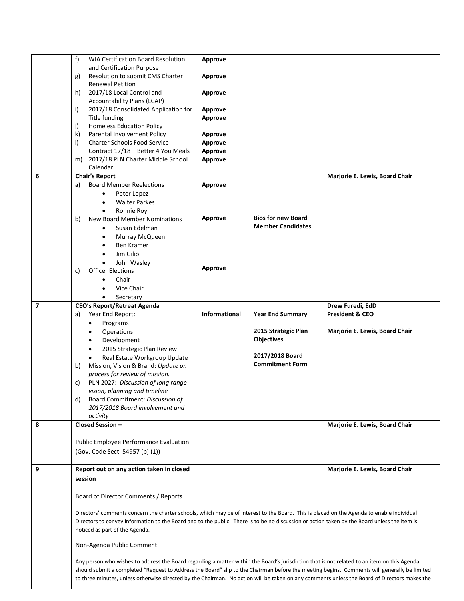|                          | <b>WIA Certification Board Resolution</b><br>f                                                                                               | Approve              |                           |                                |  |
|--------------------------|----------------------------------------------------------------------------------------------------------------------------------------------|----------------------|---------------------------|--------------------------------|--|
|                          | and Certification Purpose                                                                                                                    |                      |                           |                                |  |
|                          | <b>Resolution to submit CMS Charter</b><br>g)                                                                                                | Approve              |                           |                                |  |
|                          | <b>Renewal Petition</b>                                                                                                                      |                      |                           |                                |  |
|                          | h)<br>2017/18 Local Control and                                                                                                              | Approve              |                           |                                |  |
|                          | Accountability Plans (LCAP)                                                                                                                  |                      |                           |                                |  |
|                          | i)<br>2017/18 Consolidated Application for                                                                                                   | Approve              |                           |                                |  |
|                          | Title funding                                                                                                                                | Approve              |                           |                                |  |
|                          | <b>Homeless Education Policy</b><br>j)                                                                                                       |                      |                           |                                |  |
|                          | Parental Involvement Policy<br>k)                                                                                                            | Approve              |                           |                                |  |
|                          | I)<br><b>Charter Schools Food Service</b>                                                                                                    | <b>Approve</b>       |                           |                                |  |
|                          | Contract 17/18 - Better 4 You Meals                                                                                                          | <b>Approve</b>       |                           |                                |  |
|                          | 2017/18 PLN Charter Middle School<br>m)                                                                                                      | Approve              |                           |                                |  |
|                          | Calendar                                                                                                                                     |                      |                           |                                |  |
| 6                        | <b>Chair's Report</b>                                                                                                                        |                      |                           | Marjorie E. Lewis, Board Chair |  |
|                          | <b>Board Member Reelections</b><br>a)                                                                                                        | <b>Approve</b>       |                           |                                |  |
|                          | Peter Lopez                                                                                                                                  |                      |                           |                                |  |
|                          | <b>Walter Parkes</b>                                                                                                                         |                      |                           |                                |  |
|                          |                                                                                                                                              |                      |                           |                                |  |
|                          | Ronnie Roy<br>$\bullet$                                                                                                                      |                      | <b>Bios for new Board</b> |                                |  |
|                          | New Board Member Nominations<br>b)                                                                                                           | Approve              | <b>Member Candidates</b>  |                                |  |
|                          | Susan Edelman<br>$\bullet$                                                                                                                   |                      |                           |                                |  |
|                          | Murray McQueen<br>$\bullet$                                                                                                                  |                      |                           |                                |  |
|                          | Ben Kramer<br>$\bullet$                                                                                                                      |                      |                           |                                |  |
|                          | Jim Gilio<br>$\bullet$                                                                                                                       |                      |                           |                                |  |
|                          | John Wasley<br>$\bullet$                                                                                                                     |                      |                           |                                |  |
|                          | <b>Officer Elections</b><br>c)                                                                                                               | Approve              |                           |                                |  |
|                          | Chair                                                                                                                                        |                      |                           |                                |  |
|                          | Vice Chair                                                                                                                                   |                      |                           |                                |  |
|                          | Secretary                                                                                                                                    |                      |                           |                                |  |
| $\overline{\phantom{a}}$ | <b>CEO's Report/Retreat Agenda</b>                                                                                                           |                      |                           | Drew Furedi, EdD               |  |
|                          | Year End Report:<br>a)                                                                                                                       | <b>Informational</b> | <b>Year End Summary</b>   | <b>President &amp; CEO</b>     |  |
|                          | Programs                                                                                                                                     |                      |                           |                                |  |
|                          | Operations                                                                                                                                   |                      | 2015 Strategic Plan       | Marjorie E. Lewis, Board Chair |  |
|                          |                                                                                                                                              |                      | <b>Objectives</b>         |                                |  |
|                          | Development<br>$\bullet$                                                                                                                     |                      |                           |                                |  |
|                          | 2015 Strategic Plan Review<br>$\bullet$                                                                                                      |                      | 2017/2018 Board           |                                |  |
|                          | Real Estate Workgroup Update                                                                                                                 |                      | <b>Commitment Form</b>    |                                |  |
|                          | Mission, Vision & Brand: Update on<br>b)                                                                                                     |                      |                           |                                |  |
|                          | process for review of mission.                                                                                                               |                      |                           |                                |  |
|                          | PLN 2027: Discussion of long range<br>c)                                                                                                     |                      |                           |                                |  |
|                          | vision, planning and timeline                                                                                                                |                      |                           |                                |  |
|                          | Board Commitment: Discussion of<br>d)                                                                                                        |                      |                           |                                |  |
|                          | 2017/2018 Board involvement and                                                                                                              |                      |                           |                                |  |
|                          | activity                                                                                                                                     |                      |                           |                                |  |
| 8                        | Closed Session -                                                                                                                             |                      |                           | Marjorie E. Lewis, Board Chair |  |
|                          |                                                                                                                                              |                      |                           |                                |  |
|                          | Public Employee Performance Evaluation                                                                                                       |                      |                           |                                |  |
|                          | (Gov. Code Sect. 54957 (b) (1))                                                                                                              |                      |                           |                                |  |
|                          |                                                                                                                                              |                      |                           |                                |  |
| 9                        | Report out on any action taken in closed                                                                                                     |                      |                           | Marjorie E. Lewis, Board Chair |  |
|                          | session                                                                                                                                      |                      |                           |                                |  |
|                          |                                                                                                                                              |                      |                           |                                |  |
|                          | Board of Director Comments / Reports                                                                                                         |                      |                           |                                |  |
|                          |                                                                                                                                              |                      |                           |                                |  |
|                          |                                                                                                                                              |                      |                           |                                |  |
|                          | Directors' comments concern the charter schools, which may be of interest to the Board. This is placed on the Agenda to enable individual    |                      |                           |                                |  |
|                          | Directors to convey information to the Board and to the public. There is to be no discussion or action taken by the Board unless the item is |                      |                           |                                |  |
|                          | noticed as part of the Agenda.                                                                                                               |                      |                           |                                |  |
|                          | Non-Agenda Public Comment                                                                                                                    |                      |                           |                                |  |
|                          |                                                                                                                                              |                      |                           |                                |  |
|                          | Any person who wishes to address the Board regarding a matter within the Board's jurisdiction that is not related to an item on this Agenda  |                      |                           |                                |  |
|                          | should submit a completed "Request to Address the Board" slip to the Chairman before the meeting begins. Comments will generally be limited  |                      |                           |                                |  |
|                          | to three minutes, unless otherwise directed by the Chairman. No action will be taken on any comments unless the Board of Directors makes the |                      |                           |                                |  |
|                          |                                                                                                                                              |                      |                           |                                |  |